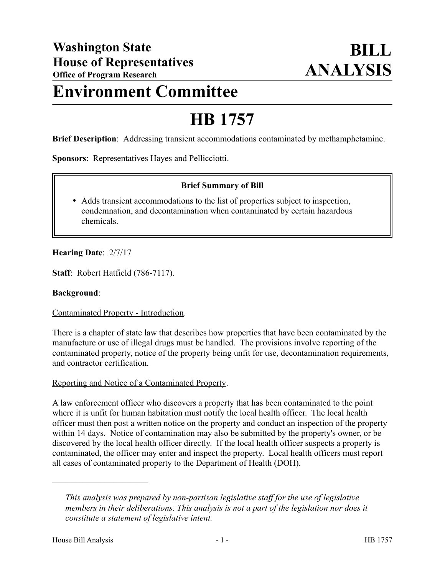# **Environment Committee**

# **HB 1757**

**Brief Description**: Addressing transient accommodations contaminated by methamphetamine.

**Sponsors**: Representatives Hayes and Pellicciotti.

# **Brief Summary of Bill**

 Adds transient accommodations to the list of properties subject to inspection, condemnation, and decontamination when contaminated by certain hazardous chemicals.

#### **Hearing Date**: 2/7/17

**Staff**: Robert Hatfield (786-7117).

#### **Background**:

Contaminated Property - Introduction.

There is a chapter of state law that describes how properties that have been contaminated by the manufacture or use of illegal drugs must be handled. The provisions involve reporting of the contaminated property, notice of the property being unfit for use, decontamination requirements, and contractor certification.

#### Reporting and Notice of a Contaminated Property.

A law enforcement officer who discovers a property that has been contaminated to the point where it is unfit for human habitation must notify the local health officer. The local health officer must then post a written notice on the property and conduct an inspection of the property within 14 days. Notice of contamination may also be submitted by the property's owner, or be discovered by the local health officer directly. If the local health officer suspects a property is contaminated, the officer may enter and inspect the property. Local health officers must report all cases of contaminated property to the Department of Health (DOH).

––––––––––––––––––––––

*This analysis was prepared by non-partisan legislative staff for the use of legislative members in their deliberations. This analysis is not a part of the legislation nor does it constitute a statement of legislative intent.*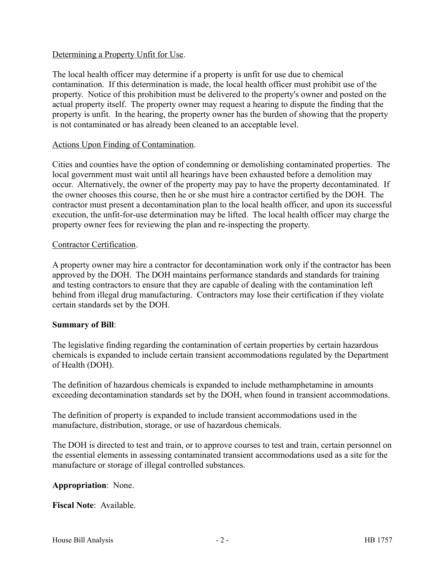#### Determining a Property Unfit for Use.

The local health officer may determine if a property is unfit for use due to chemical contamination. If this determination is made, the local health officer must prohibit use of the property. Notice of this prohibition must be delivered to the property's owner and posted on the actual property itself. The property owner may request a hearing to dispute the finding that the property is unfit. In the hearing, the property owner has the burden of showing that the property is not contaminated or has already been cleaned to an acceptable level.

#### Actions Upon Finding of Contamination.

Cities and counties have the option of condemning or demolishing contaminated properties. The local government must wait until all hearings have been exhausted before a demolition may occur. Alternatively, the owner of the property may pay to have the property decontaminated. If the owner chooses this course, then he or she must hire a contractor certified by the DOH. The contractor must present a decontamination plan to the local health officer, and upon its successful execution, the unfit-for-use determination may be lifted. The local health officer may charge the property owner fees for reviewing the plan and re-inspecting the property.

#### Contractor Certification.

A property owner may hire a contractor for decontamination work only if the contractor has been approved by the DOH. The DOH maintains performance standards and standards for training and testing contractors to ensure that they are capable of dealing with the contamination left behind from illegal drug manufacturing. Contractors may lose their certification if they violate certain standards set by the DOH.

# **Summary of Bill**:

The legislative finding regarding the contamination of certain properties by certain hazardous chemicals is expanded to include certain transient accommodations regulated by the Department of Health (DOH).

The definition of hazardous chemicals is expanded to include methamphetamine in amounts exceeding decontamination standards set by the DOH, when found in transient accommodations.

The definition of property is expanded to include transient accommodations used in the manufacture, distribution, storage, or use of hazardous chemicals.

The DOH is directed to test and train, or to approve courses to test and train, certain personnel on the essential elements in assessing contaminated transient accommodations used as a site for the manufacture or storage of illegal controlled substances.

# **Appropriation**: None.

**Fiscal Note**: Available.